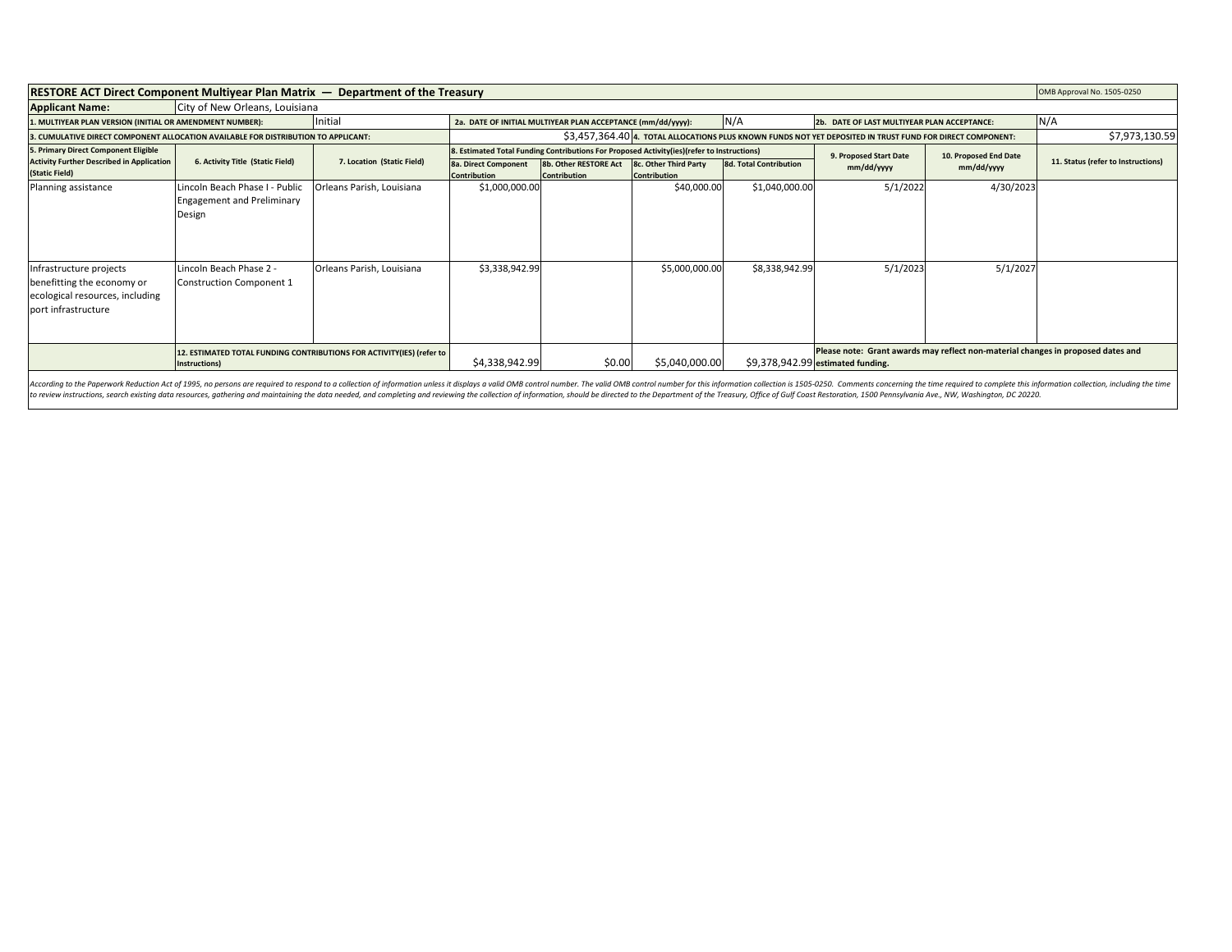| <b>RESTORE ACT Direct Component Multiyear Plan Matrix <math>-</math> Department of the Treasury</b>             |                                                                                                                                                                                                                                                                                                                          |                                                                |                                                                                                            |                                              |                                              |                                             | OMB Approval No. 1505-0250                                                                                                                                                                                                                                                                                                                              |                       |                                    |
|-----------------------------------------------------------------------------------------------------------------|--------------------------------------------------------------------------------------------------------------------------------------------------------------------------------------------------------------------------------------------------------------------------------------------------------------------------|----------------------------------------------------------------|------------------------------------------------------------------------------------------------------------|----------------------------------------------|----------------------------------------------|---------------------------------------------|---------------------------------------------------------------------------------------------------------------------------------------------------------------------------------------------------------------------------------------------------------------------------------------------------------------------------------------------------------|-----------------------|------------------------------------|
| <b>Applicant Name:</b>                                                                                          | City of New Orleans, Louisiana                                                                                                                                                                                                                                                                                           |                                                                |                                                                                                            |                                              |                                              |                                             |                                                                                                                                                                                                                                                                                                                                                         |                       |                                    |
| Initial<br>1. MULTIYEAR PLAN VERSION (INITIAL OR AMENDMENT NUMBER):                                             |                                                                                                                                                                                                                                                                                                                          |                                                                | N/A<br>2a. DATE OF INITIAL MULTIYEAR PLAN ACCEPTANCE (mm/dd/yyyy):                                         |                                              |                                              | 2b. DATE OF LAST MULTIYEAR PLAN ACCEPTANCE: |                                                                                                                                                                                                                                                                                                                                                         | N/A                   |                                    |
| 3. CUMULATIVE DIRECT COMPONENT ALLOCATION AVAILABLE FOR DISTRIBUTION TO APPLICANT:                              |                                                                                                                                                                                                                                                                                                                          |                                                                | \$3,457,364.40 4. TOTAL ALLOCATIONS PLUS KNOWN FUNDS NOT YET DEPOSITED IN TRUST FUND FOR DIRECT COMPONENT: |                                              |                                              |                                             |                                                                                                                                                                                                                                                                                                                                                         |                       | \$7,973,130.59                     |
| 5. Primary Direct Component Eligible                                                                            |                                                                                                                                                                                                                                                                                                                          |                                                                | 8. Estimated Total Funding Contributions For Proposed Activity(ies)(refer to Instructions)                 |                                              |                                              |                                             | 9. Proposed Start Date                                                                                                                                                                                                                                                                                                                                  | 10. Proposed End Date |                                    |
| <b>Activity Further Described in Application</b><br>(Static Field)                                              | 6. Activity Title (Static Field)                                                                                                                                                                                                                                                                                         | 7. Location (Static Field)                                     | <b>8a. Direct Component</b><br>Contribution                                                                | 8b. Other RESTORE Act<br><b>Contribution</b> | 8c. Other Third Party<br><b>Contribution</b> | 8d. Total Contribution                      | mm/dd/yyyy                                                                                                                                                                                                                                                                                                                                              | mm/dd/yyyy            | 11. Status (refer to Instructions) |
| Planning assistance<br>Infrastructure projects<br>benefitting the economy or<br>ecological resources, including | Lincoln Beach Phase I - Public<br><b>Engagement and Preliminary</b><br>Design<br>Lincoln Beach Phase 2 -<br><b>Construction Component 1</b>                                                                                                                                                                              | Orleans Parish, Louisiana<br><b>IOrleans Parish, Louisiana</b> | \$1,000,000.00<br>\$3,338,942.99                                                                           |                                              | \$40,000.00<br>\$5,000,000.00                | \$1,040,000.00<br>\$8,338,942.99            | 5/1/2022<br>5/1/2023                                                                                                                                                                                                                                                                                                                                    | 4/30/2023<br>5/1/2027 |                                    |
| port infrastructure                                                                                             | 12. ESTIMATED TOTAL FUNDING CONTRIBUTIONS FOR ACTIVITY(IES) (refer to<br>Instructions)<br>to review instructions, search existing data resources, gathering and maintaining the data needed, and completing and reviewing the collection of information, should be directed to the Department of the Treasury, Office of |                                                                | \$4,338,942.99                                                                                             | \$0.00                                       | \$5,040,000.00                               |                                             | Please note: Grant awards may reflect non-material changes in proposed dates and<br>\$9,378,942.99 estimated funding.<br>According to the Paperwork Reduction Act of 1995, no persons are required to respond to a collection of information unless it displays a valid OMB control number. The valid OMB control number for this information collectio |                       |                                    |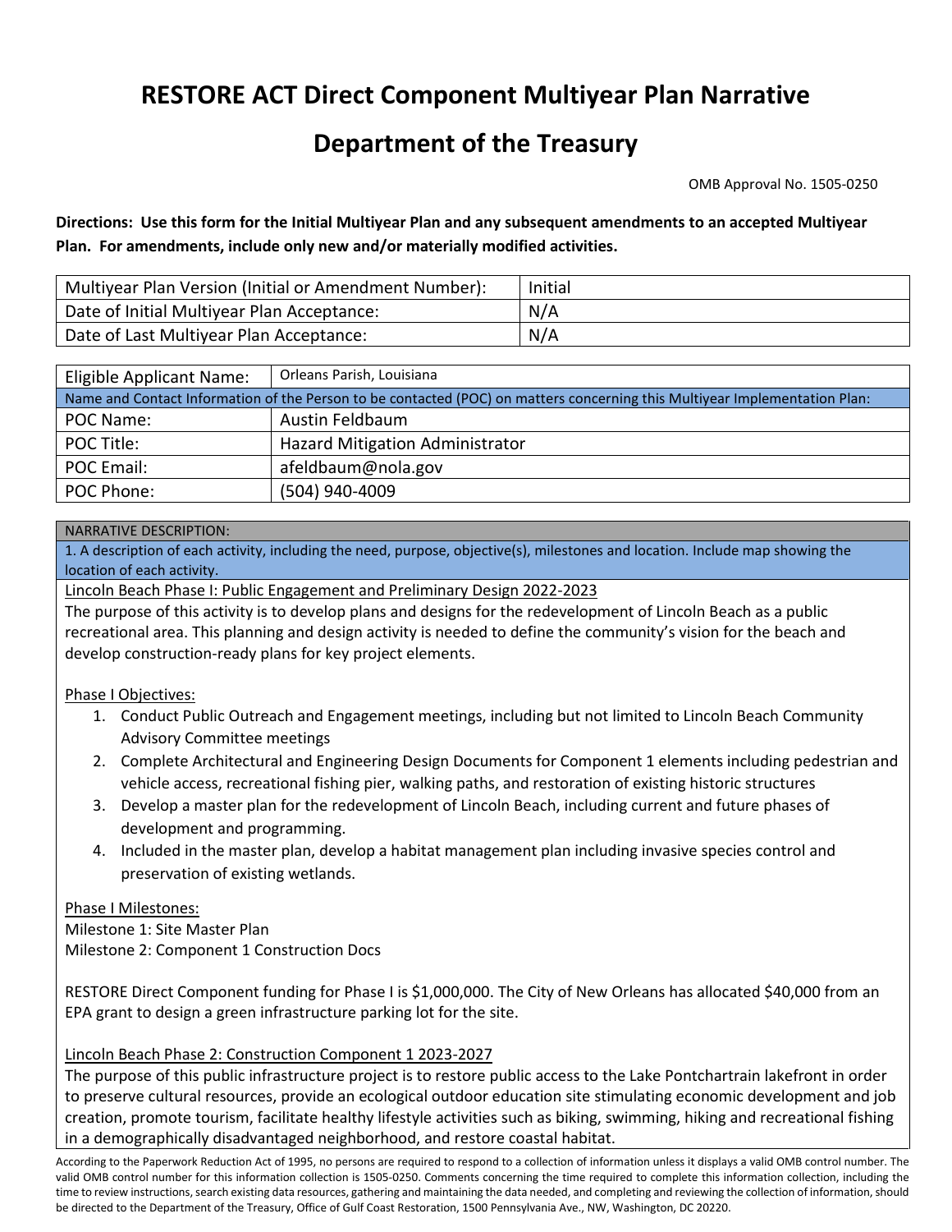# **RESTORE ACT Direct Component Multiyear Plan Narrative**

# **Department of the Treasury**

OMB Approval No. 1505-0250

**Directions: Use this form for the Initial Multiyear Plan and any subsequent amendments to an accepted Multiyear Plan. For amendments, include only new and/or materially modified activities.**

| Multiyear Plan Version (Initial or Amendment Number): | Initial |
|-------------------------------------------------------|---------|
| Date of Initial Multiyear Plan Acceptance:            | N/A     |
| Date of Last Multiyear Plan Acceptance:               | N/A     |

| Eligible Applicant Name:                                                                                                   | Orleans Parish, Louisiana              |  |  |  |
|----------------------------------------------------------------------------------------------------------------------------|----------------------------------------|--|--|--|
| Name and Contact Information of the Person to be contacted (POC) on matters concerning this Multiyear Implementation Plan: |                                        |  |  |  |
| POC Name:                                                                                                                  | Austin Feldbaum                        |  |  |  |
| POC Title:                                                                                                                 | <b>Hazard Mitigation Administrator</b> |  |  |  |
| POC Email:                                                                                                                 | afeldbaum@nola.gov                     |  |  |  |
| POC Phone:                                                                                                                 | (504) 940-4009                         |  |  |  |

#### NARRATIVE DESCRIPTION:

1. A description of each activity, including the need, purpose, objective(s), milestones and location. Include map showing the location of each activity.

Lincoln Beach Phase I: Public Engagement and Preliminary Design 2022-2023

The purpose of this activity is to develop plans and designs for the redevelopment of Lincoln Beach as a public recreational area. This planning and design activity is needed to define the community's vision for the beach and develop construction-ready plans for key project elements.

#### Phase I Objectives:

- 1. Conduct Public Outreach and Engagement meetings, including but not limited to Lincoln Beach Community Advisory Committee meetings
- 2. Complete Architectural and Engineering Design Documents for Component 1 elements including pedestrian and vehicle access, recreational fishing pier, walking paths, and restoration of existing historic structures
- 3. Develop a master plan for the redevelopment of Lincoln Beach, including current and future phases of development and programming.
- 4. Included in the master plan, develop a habitat management plan including invasive species control and preservation of existing wetlands.

Phase I Milestones:

Milestone 1: Site Master Plan Milestone 2: Component 1 Construction Docs

RESTORE Direct Component funding for Phase I is \$1,000,000. The City of New Orleans has allocated \$40,000 from an EPA grant to design a green infrastructure parking lot for the site.

# Lincoln Beach Phase 2: Construction Component 1 2023-2027

The purpose of this public infrastructure project is to restore public access to the Lake Pontchartrain lakefront in order to preserve cultural resources, provide an ecological outdoor education site stimulating economic development and job creation, promote tourism, facilitate healthy lifestyle activities such as biking, swimming, hiking and recreational fishing in a demographically disadvantaged neighborhood, and restore coastal habitat.

According to the Paperwork Reduction Act of 1995, no persons are required to respond to a collection of information unless it displays a valid OMB control number. The valid OMB control number for this information collection is 1505-0250. Comments concerning the time required to complete this information collection, including the time to review instructions, search existing data resources, gathering and maintaining the data needed, and completing and reviewing the collection of information, should be directed to the Department of the Treasury, Office of Gulf Coast Restoration, 1500 Pennsylvania Ave., NW, Washington, DC 20220.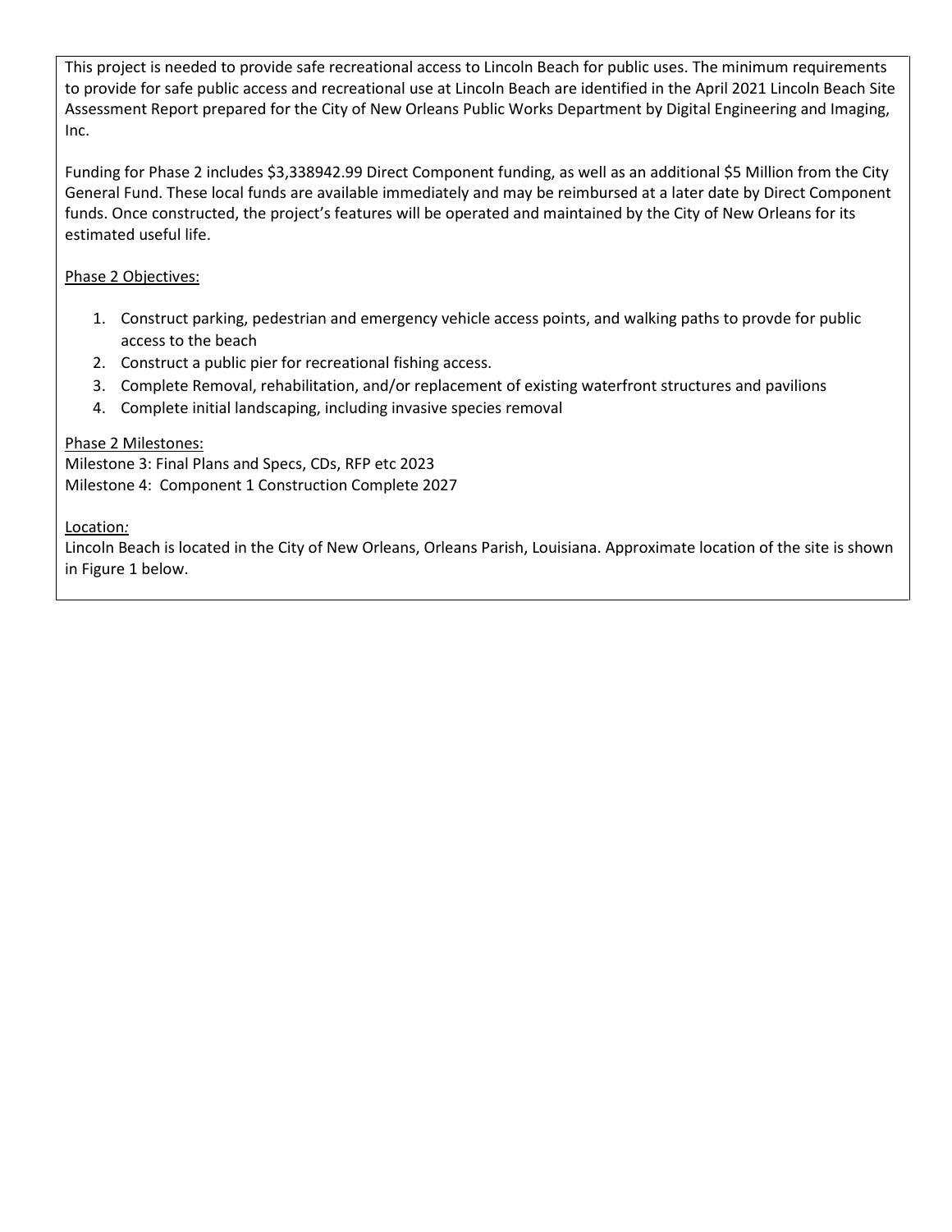This project is needed to provide safe recreational access to Lincoln Beach for public uses. The minimum requirements to provide for safe public access and recreational use at Lincoln Beach are identified in the April 2021 Lincoln Beach Site Assessment Report prepared for the City of New Orleans Public Works Department by Digital Engineering and Imaging, Inc.

Funding for Phase 2 includes \$3,338942.99 Direct Component funding, as well as an additional \$5 Million from the City General Fund. These local funds are available immediately and may be reimbursed at a later date by Direct Component funds. Once constructed, the project's features will be operated and maintained by the City of New Orleans for its estimated useful life.

# Phase 2 Objectives:

- 1. Construct parking, pedestrian and emergency vehicle access points, and walking paths to provde for public access to the beach
- 2. Construct a public pier for recreational fishing access.
- 3. Complete Removal, rehabilitation, and/or replacement of existing waterfront structures and pavilions
- 4. Complete initial landscaping, including invasive species removal

# Phase 2 Milestones:

Milestone 3: Final Plans and Specs, CDs, RFP etc 2023 Milestone 4: Component 1 Construction Complete 2027

#### Location*:*

Lincoln Beach is located in the City of New Orleans, Orleans Parish, Louisiana. Approximate location of the site is shown in Figure 1 below.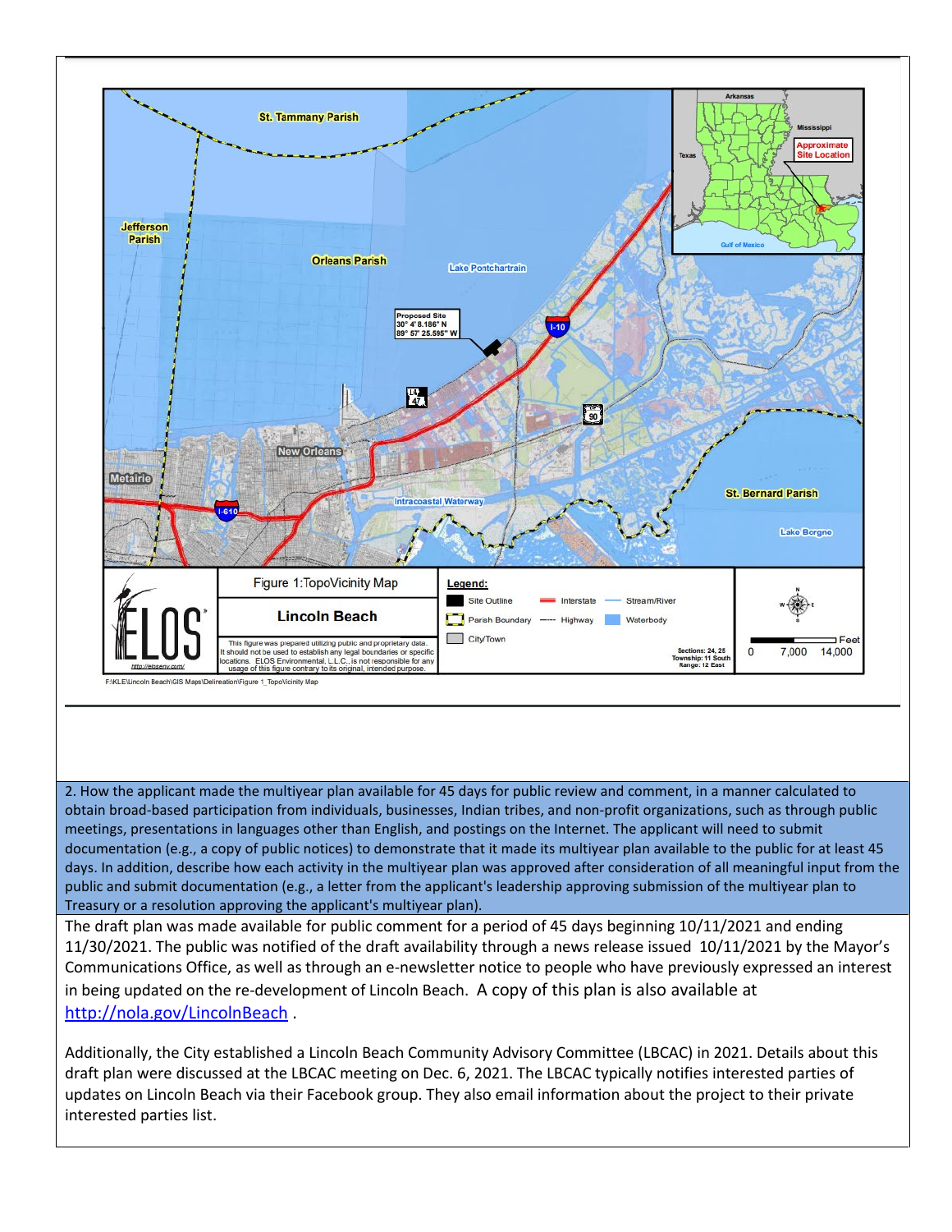

2. How the applicant made the multiyear plan available for 45 days for public review and comment, in a manner calculated to obtain broad-based participation from individuals, businesses, Indian tribes, and non-profit organizations, such as through public meetings, presentations in languages other than English, and postings on the Internet. The applicant will need to submit documentation (e.g., a copy of public notices) to demonstrate that it made its multiyear plan available to the public for at least 45 days. In addition, describe how each activity in the multiyear plan was approved after consideration of all meaningful input from the public and submit documentation (e.g., a letter from the applicant's leadership approving submission of the multiyear plan to Treasury or a resolution approving the applicant's multiyear plan).

The draft plan was made available for public comment for a period of 45 days beginning 10/11/2021 and ending 11/30/2021. The public was notified of the draft availability through a news release issued 10/11/2021 by the Mayor's Communications Office, as well as through an e-newsletter notice to people who have previously expressed an interest in being updated on the re-development of Lincoln Beach. A copy of this plan is also available at <http://nola.gov/LincolnBeach> .

Additionally, the City established a Lincoln Beach Community Advisory Committee (LBCAC) in 2021. Details about this draft plan were discussed at the LBCAC meeting on Dec. 6, 2021. The LBCAC typically notifies interested parties of updates on Lincoln Beach via their Facebook group. They also email information about the project to their private interested parties list.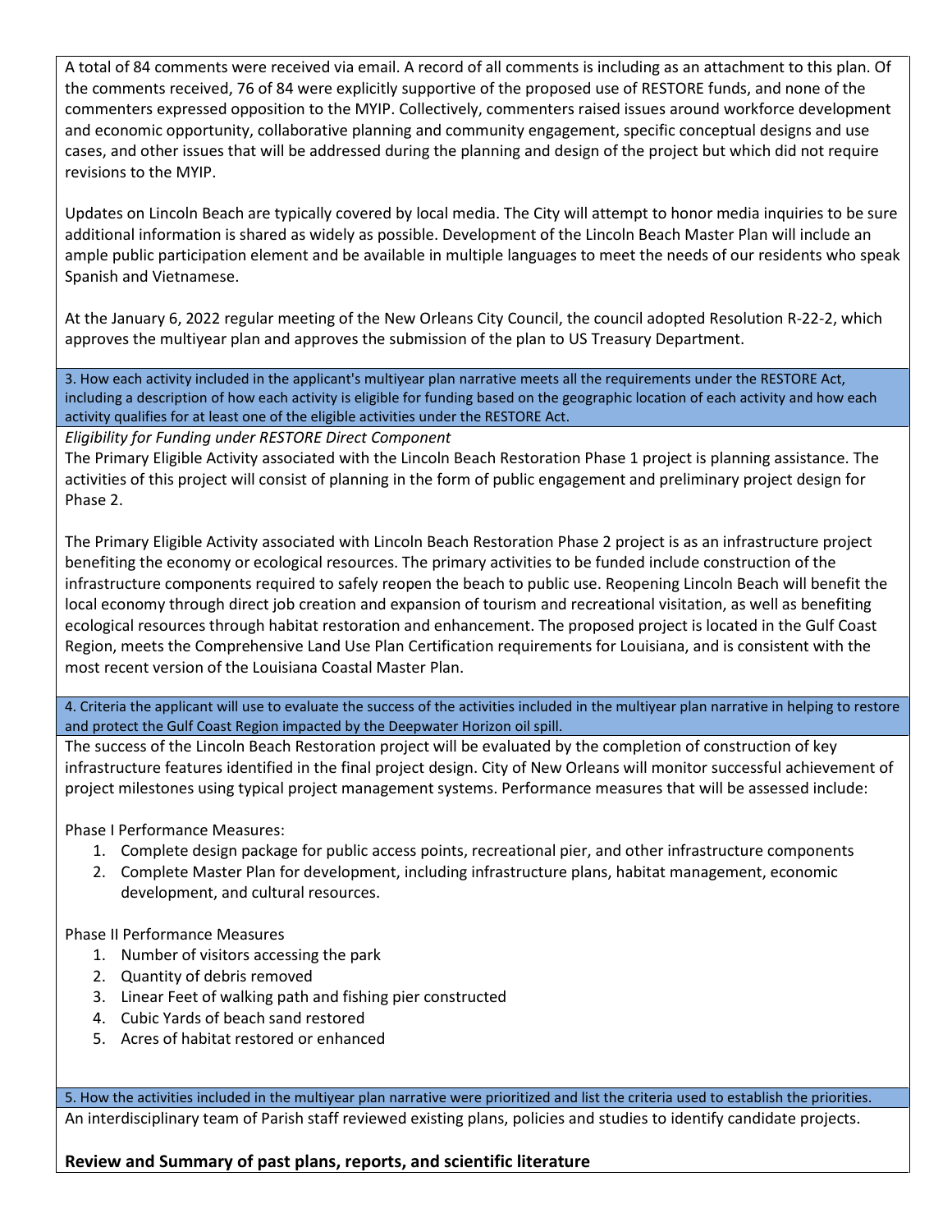A total of 84 comments were received via email. A record of all comments is including as an attachment to this plan. Of the comments received, 76 of 84 were explicitly supportive of the proposed use of RESTORE funds, and none of the commenters expressed opposition to the MYIP. Collectively, commenters raised issues around workforce development and economic opportunity, collaborative planning and community engagement, specific conceptual designs and use cases, and other issues that will be addressed during the planning and design of the project but which did not require revisions to the MYIP.

Updates on Lincoln Beach are typically covered by local media. The City will attempt to honor media inquiries to be sure additional information is shared as widely as possible. Development of the Lincoln Beach Master Plan will include an ample public participation element and be available in multiple languages to meet the needs of our residents who speak Spanish and Vietnamese.

At the January 6, 2022 regular meeting of the New Orleans City Council, the council adopted Resolution R-22-2, which approves the multiyear plan and approves the submission of the plan to US Treasury Department.

3. How each activity included in the applicant's multiyear plan narrative meets all the requirements under the RESTORE Act, including a description of how each activity is eligible for funding based on the geographic location of each activity and how each activity qualifies for at least one of the eligible activities under the RESTORE Act.

*Eligibility for Funding under RESTORE Direct Component*

The Primary Eligible Activity associated with the Lincoln Beach Restoration Phase 1 project is planning assistance. The activities of this project will consist of planning in the form of public engagement and preliminary project design for Phase 2.

The Primary Eligible Activity associated with Lincoln Beach Restoration Phase 2 project is as an infrastructure project benefiting the economy or ecological resources. The primary activities to be funded include construction of the infrastructure components required to safely reopen the beach to public use. Reopening Lincoln Beach will benefit the local economy through direct job creation and expansion of tourism and recreational visitation, as well as benefiting ecological resources through habitat restoration and enhancement. The proposed project is located in the Gulf Coast Region, meets the Comprehensive Land Use Plan Certification requirements for Louisiana, and is consistent with the most recent version of the Louisiana Coastal Master Plan.

4. Criteria the applicant will use to evaluate the success of the activities included in the multiyear plan narrative in helping to restore and protect the Gulf Coast Region impacted by the Deepwater Horizon oil spill.

The success of the Lincoln Beach Restoration project will be evaluated by the completion of construction of key infrastructure features identified in the final project design. City of New Orleans will monitor successful achievement of project milestones using typical project management systems. Performance measures that will be assessed include:

Phase I Performance Measures:

- 1. Complete design package for public access points, recreational pier, and other infrastructure components
- 2. Complete Master Plan for development, including infrastructure plans, habitat management, economic development, and cultural resources.

Phase II Performance Measures

- 1. Number of visitors accessing the park
- 2. Quantity of debris removed
- 3. Linear Feet of walking path and fishing pier constructed
- 4. Cubic Yards of beach sand restored
- 5. Acres of habitat restored or enhanced

5. How the activities included in the multiyear plan narrative were prioritized and list the criteria used to establish the priorities. An interdisciplinary team of Parish staff reviewed existing plans, policies and studies to identify candidate projects.

# **Review and Summary of past plans, reports, and scientific literature**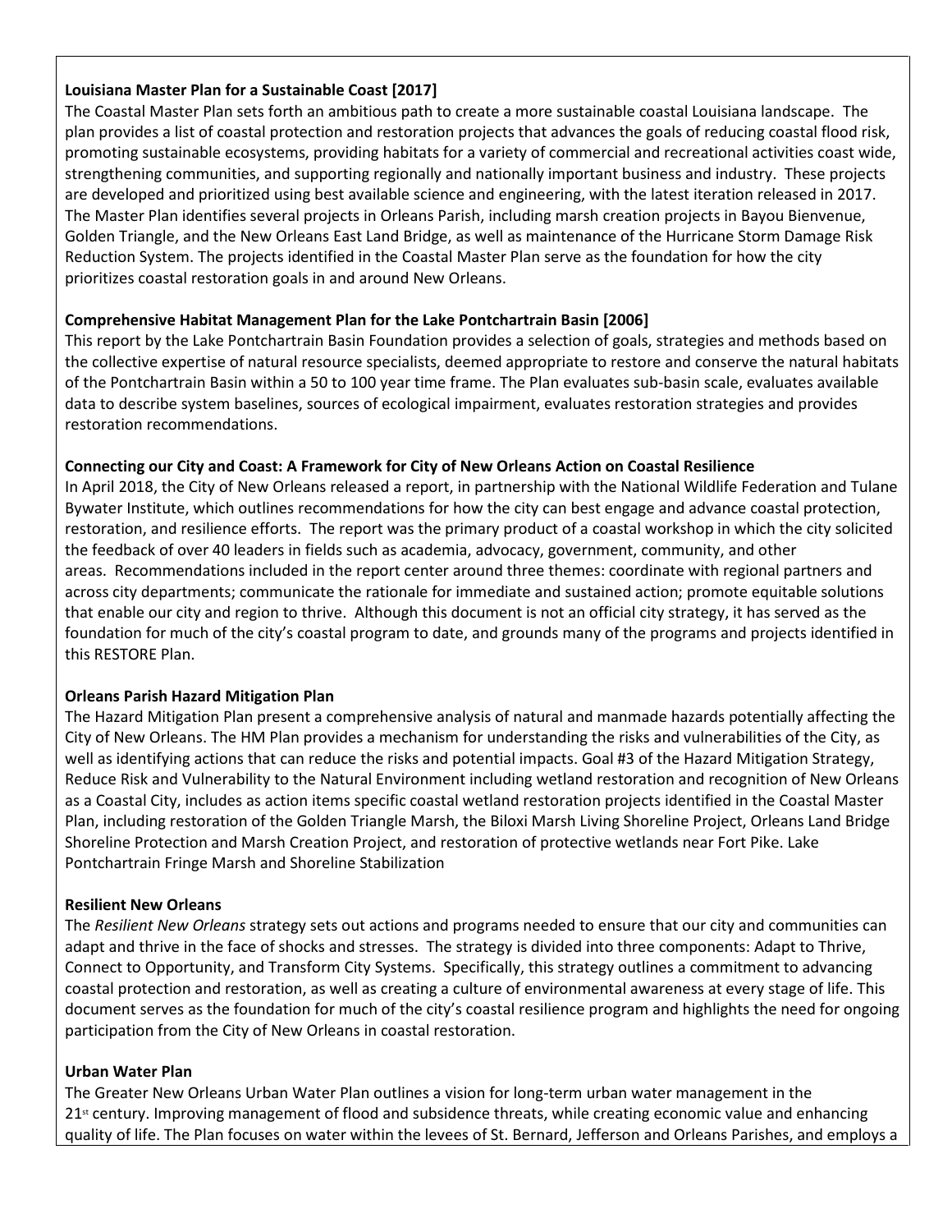#### **Louisiana Master Plan for a Sustainable Coast [2017]**

The Coastal Master Plan sets forth an ambitious path to create a more sustainable coastal Louisiana landscape. The plan provides a list of coastal protection and restoration projects that advances the goals of reducing coastal flood risk, promoting sustainable ecosystems, providing habitats for a variety of commercial and recreational activities coast wide, strengthening communities, and supporting regionally and nationally important business and industry. These projects are developed and prioritized using best available science and engineering, with the latest iteration released in 2017. The Master Plan identifies several projects in Orleans Parish, including marsh creation projects in Bayou Bienvenue, Golden Triangle, and the New Orleans East Land Bridge, as well as maintenance of the Hurricane Storm Damage Risk Reduction System. The projects identified in the Coastal Master Plan serve as the foundation for how the city prioritizes coastal restoration goals in and around New Orleans.

# **Comprehensive Habitat Management Plan for the Lake Pontchartrain Basin [2006]**

This report by the Lake Pontchartrain Basin Foundation provides a selection of goals, strategies and methods based on the collective expertise of natural resource specialists, deemed appropriate to restore and conserve the natural habitats of the Pontchartrain Basin within a 50 to 100 year time frame. The Plan evaluates sub-basin scale, evaluates available data to describe system baselines, sources of ecological impairment, evaluates restoration strategies and provides restoration recommendations.

# **Connecting our City and Coast: A Framework for City of New Orleans Action on Coastal Resilience**

In April 2018, the City of New Orleans released a report, in partnership with the National Wildlife Federation and Tulane Bywater Institute, which outlines recommendations for how the city can best engage and advance coastal protection, restoration, and resilience efforts. The report was the primary product of a coastal workshop in which the city solicited the feedback of over 40 leaders in fields such as academia, advocacy, government, community, and other areas. Recommendations included in the report center around three themes: coordinate with regional partners and across city departments; communicate the rationale for immediate and sustained action; promote equitable solutions that enable our city and region to thrive. Although this document is not an official city strategy, it has served as the foundation for much of the city's coastal program to date, and grounds many of the programs and projects identified in this RESTORE Plan.

# **Orleans Parish Hazard Mitigation Plan**

The Hazard Mitigation Plan present a comprehensive analysis of natural and manmade hazards potentially affecting the City of New Orleans. The HM Plan provides a mechanism for understanding the risks and vulnerabilities of the City, as well as identifying actions that can reduce the risks and potential impacts. Goal #3 of the Hazard Mitigation Strategy, Reduce Risk and Vulnerability to the Natural Environment including wetland restoration and recognition of New Orleans as a Coastal City, includes as action items specific coastal wetland restoration projects identified in the Coastal Master Plan, including restoration of the Golden Triangle Marsh, the Biloxi Marsh Living Shoreline Project, Orleans Land Bridge Shoreline Protection and Marsh Creation Project, and restoration of protective wetlands near Fort Pike. Lake Pontchartrain Fringe Marsh and Shoreline Stabilization

# **Resilient New Orleans**

The *Resilient New Orleans* strategy sets out actions and programs needed to ensure that our city and communities can adapt and thrive in the face of shocks and stresses. The strategy is divided into three components: Adapt to Thrive, Connect to Opportunity, and Transform City Systems. Specifically, this strategy outlines a commitment to advancing coastal protection and restoration, as well as creating a culture of environmental awareness at every stage of life. This document serves as the foundation for much of the city's coastal resilience program and highlights the need for ongoing participation from the City of New Orleans in coastal restoration.

# **Urban Water Plan**

The Greater New Orleans Urban Water Plan outlines a vision for long-term urban water management in the 21<sup>st</sup> century. Improving management of flood and subsidence threats, while creating economic value and enhancing quality of life. The Plan focuses on water within the levees of St. Bernard, Jefferson and Orleans Parishes, and employs a